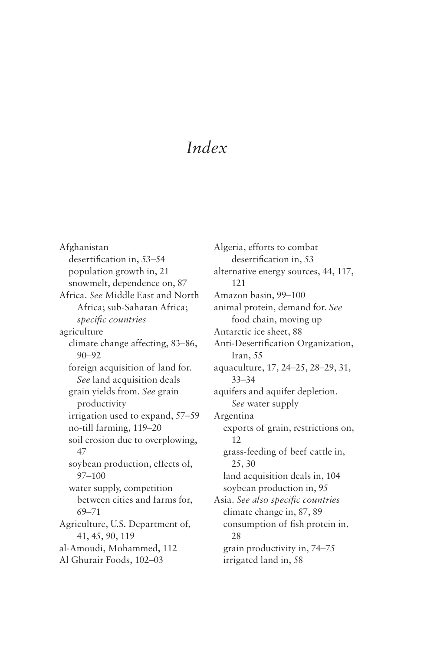# *Index*

Afghanistan desertification in, 53–54 population growth in, 21 snowmelt, dependence on, 87 Africa. *See* Middle East and North Africa; sub-Saharan Africa; *specific countries* agriculture climate change affecting, 83–86, 90–92 foreign acquisition of land for. *See* land acquisition deals grain yields from. *See* grain productivity irrigation used to expand, 57–59 no-till farming, 119–20 soil erosion due to overplowing, 47 soybean production, effects of, 97–100 water supply, competition between cities and farms for, 69–71 Agriculture, U.S. Department of, 41, 45, 90, 119 al-Amoudi, Mohammed, 112 Al Ghurair Foods, 102–03

Algeria, efforts to combat desertification in, 53 alternative energy sources, 44, 117, 121 Amazon basin, 99–100 animal protein, demand for. *See* food chain, moving up Antarctic ice sheet, 88 Anti-Desertification Organization, Iran, 55 aquaculture, 17, 24–25, 28–29, 31, 33–34 aquifers and aquifer depletion. *See* water supply Argentina exports of grain, restrictions on, 12 grass-feeding of beef cattle in, 25, 30 land acquisition deals in, 104 soybean production in, 95 Asia. *See also specific countries* climate change in, 87, 89 consumption of fish protein in, 28 grain productivity in, 74–75 irrigated land in, 58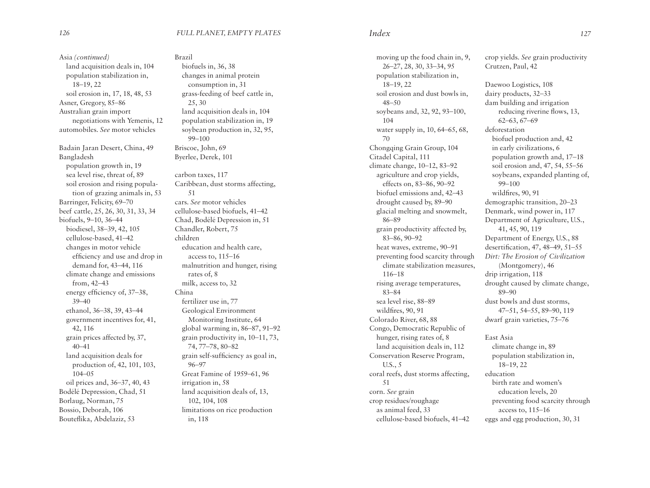Brazil

Asia *(continued)* land acquisition deals in, 104 population stabilization in, 18–19, 22 soil erosion in, 17, 18, 48, 53 Asner, Gregory, 85–86 Australian grain import negotiations with Yemenis, 12 automobiles. *See* motor vehicles Badain Jaran Desert, China, 49 Bangladesh population growth in, 19 sea level rise, threat of, 89 soil erosion and rising popula tion of grazing animals in, 53 Barringer, Felicity, 69–70 beef cattle, 25, 26, 30, 31, 33, 34 biofuels, 9–10, 36–44 biodiesel, 38–39, 42, 105 cellulose-based, 41–42 changes in motor vehicle efficiency and use and drop in demand for, 43–44, 116 climate change and emissions from, 42–43 energy efficiency of, 37–38, 39–40 ethanol, 36–38, 39, 43–44 government incentives for, 41, 42, 116 grain prices affected by, 37, 40–41 land acquisition deals for production of, 42, 101, 103, 104–05 oil prices and, 36–37, 40, 43 Bodélé Depression, Chad, 51 Borlaug, Norman, 75 Bossio, Deborah, 106 Bouteflika, Abdelaziz, 53

biofuels in, 36, 38 changes in animal protein consumption in, 31 grass-feeding of beef cattle in, 25, 30 land acquisition deals in, 104 population stabilization in, 19 soybean production in, 32, 95, 99–100 Briscoe, John, 69 Byerlee, Derek, 101 carbon taxes, 117 Caribbean, dust storms affecting, 51 cars. *See* motor vehicles cellulose-based biofuels, 41–42 Chad, Bodélé Depression in, 51 Chandler, Robert, 75 children education and health care, access to, 115–16 malnutrition and hunger, rising rates of, 8 milk, access to, 32 China fertilizer use in, 77 Geological Environment Monitoring Institute, 64 global warming in, 86–87, 91–92 grain productivity in, 10–11, 73, 74, 77–78, 80–82 grain self-sufficiency as goal in, 96–97 Great Famine of 1959–61, 96 irrigation in, 58 land acquisition deals of, 13, 102, 104, 108

limitations on rice production in, 118

moving up the food chain in, 9, 26–27, 28, 30, 33–34, 95 population stabilization in, 18–19, 22 soil erosion and dust bowls in, 48–50 soybeans and, 32, 92, 93–100, 104 water supply in, 10, 64–65, 68, 70 Chongqing Grain Group, 104 Citadel Capital, 111 climate change, 10–12, 83–92 agriculture and crop yields, effects on, 83–86, 90–92 biofuel emissions and, 42–43 drought caused by, 89–90 glacial melting and snowmelt, 86–89 grain productivity affected by, 83–86, 90–92 heat waves, extreme, 90–91 preventing food scarcity through climate stabilization measures, 116–18 rising average temperatures, 83–84 sea level rise, 88–89 wildfires, 90, 91 Colorado River, 68, 88 Congo, Democratic Republic of hunger, rising rates of, 8 land acquisition deals in, 112 Conservation Reserve Program, U.S., 5 coral reefs, dust storms affecting, 51 corn. *See* grain crop residues/roughage as animal feed, 33 cellulose-based biofuels, 41–42

crop yields. *See* grain productivity Crutzen, Paul, 42

Daewoo Logistics, 108 dairy products, 32–33 dam building and irrigation reducing riverine flows, 13, 62–63, 67–69 deforestation biofuel production and, 42 in early civilizations, 6 population growth and, 17–18 soil erosion and, 47, 54, 55–56 soybeans, expanded planting of, 99–100 wildfires, 90, 91 demographic transition, 20–23 Denmark, wind power in, 117 Department of Agriculture, U.S., 41, 45, 90, 119 Department of Energy, U.S., 88 desertification, 47, 48–49, 51–55 *Dirt: The Erosion of Civilization* (Montgomery), 46 drip irrigation, 118 drought caused by climate change, 89–90 dust bowls and dust storms, 47–51, 54–55, 89–90, 119 dwarf grain varieties, 75–76

East Asia climate change in, 89 population stabilization in, 18–19, 22 education birth rate and women's education levels, 20 preventing food scarcity through access to, 115–16 eggs and egg production, 30, 31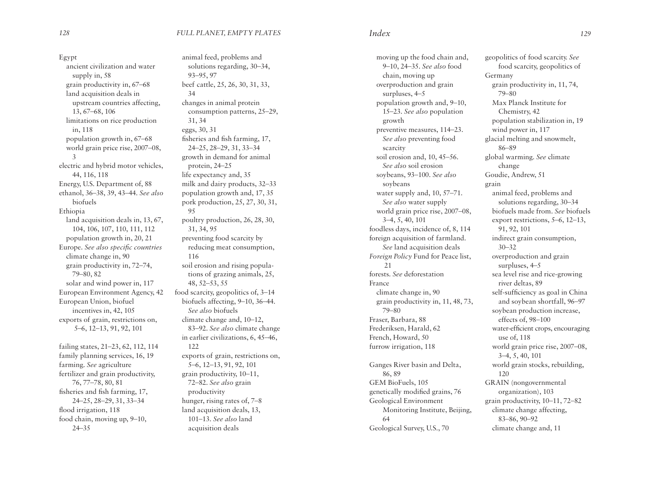Egypt ancient civilization and water supply in, 58 grain productivity in, 67–68 land acquisition deals in upstream countries affecting, 13, 67–68, 106 limitations on rice production in, 118 population growth in, 67–68 world grain price rise, 2007–08, 3 electric and hybrid motor vehicles, 44, 116, 118 Energy, U.S. Department of, 88 ethanol, 36–38, 39, 43–44. *See also* biofuels Ethiopia land acquisition deals in, 13, 67, 104, 106, 107, 110, 111, 112 population growth in, 20, 21 Europe. *See also specific countries* climate change in, 90 grain productivity in, 72–74, 79–80, 82 solar and wind power in, 117 European Environment Agency, 42 European Union, biofuel incentives in, 42, 105 exports of grain, restrictions on, 5–6, 12–13, 91, 92, 101

failing states, 21–23, 62, 112, 114 family planning services, 16, 19 farming. *See* agriculture fertilizer and grain productivity, 76, 77–78, 80, 81 fisheries and fish farming, 17, 24–25, 28–29, 31, 33–34 flood irrigation, 118 food chain, moving up, 9–10, 24–35

animal feed, problems and solutions regarding, 30–34, 93–95, 97 beef cattle, 25, 26, 30, 31, 33, 34 changes in animal protein consumption patterns, 25–29, 31, 34 eggs, 30, 31 fisheries and fish farming, 17, 24–25, 28–29, 31, 33–34 growth in demand for animal protein, 24–25 life expectancy and, 35 milk and dairy products, 32–33 population growth and, 17, 35 pork production, 25, 27, 30, 31, 95 poultry production, 26, 28, 30, 31, 34, 95 preventing food scarcity by reducing meat consumption, 116 soil erosion and rising popula tions of grazing animals, 25, 48, 52–53, 55 food scarcity, geopolitics of, 3–14 biofuels affecting, 9–10, 36–44. *See also* biofuels climate change and, 10–12, 83–92. *See also* climate change in earlier civilizations, 6, 45–46, 122 exports of grain, restrictions on, 5–6, 12–13, 91, 92, 101 grain productivity, 10–11, 72–82. *See also* grain productivity hunger, rising rates of, 7–8 land acquisition deals, 13, 101–13. *See also* land acquisition deals

moving up the food chain and, 9–10, 24–35. *See also* food chain, moving up overproduction and grain surpluses, 4–5 population growth and, 9–10, 15–23. *See also* population growth preventive measures, 114–23. *See also* preventing food scarcity soil erosion and, 10, 45–56. *See also* soil erosion soybeans, 93–100. *See also* soybeans water supply and, 10, 57–71. *See also* water supply world grain price rise, 2007–08, 3–4, 5, 40, 101 foodless days, incidence of, 8, 114 foreign acquisition of farmland. *See* land acquisition deals *Foreign Policy* Fund for Peace list, 21 forests. *See* deforestation France climate change in, 90 grain productivity in, 11, 48, 73, 79–80 Fraser, Barbara, 88 Frederiksen, Harald, 62 French, Howard, 50 furrow irrigation, 118 Ganges River basin and Delta, 86, 89 GEM BioFuels, 105 genetically modified grains, 76 Geological Environment Monitoring Institute, Beijing,

64

Geological Survey, U.S., 70

geopolitics of food scarcity. *See* food scarcity, geopolitics of Germany grain productivity in, 11, 74, 79–80 Max Planck Institute for Chemistry, 42 population stabilization in, 19 wind power in, 117 glacial melting and snowmelt, 86–89 global warming. *See* climate change Goudie, Andrew, 51 grain animal feed, problems and solutions regarding, 30–34 biofuels made from. *See* biofuels export restrictions, 5–6, 12–13, 91, 92, 101 indirect grain consumption, 30–32 overproduction and grain surpluses, 4–5 sea level rise and rice-growing river deltas, 89 self-sufficiency as goal in China and soybean shortfall, 96–97 soybean production increase, effects of, 98–100 water-efficient crops, encouraging use of, 118 world grain price rise, 2007–08, 3–4, 5, 40, 101 world grain stocks, rebuilding, 120 GRAIN (nongovernmental organization), 103 grain productivity, 10–11, 72–82 climate change affecting, 83–86, 90–92 climate change and, 11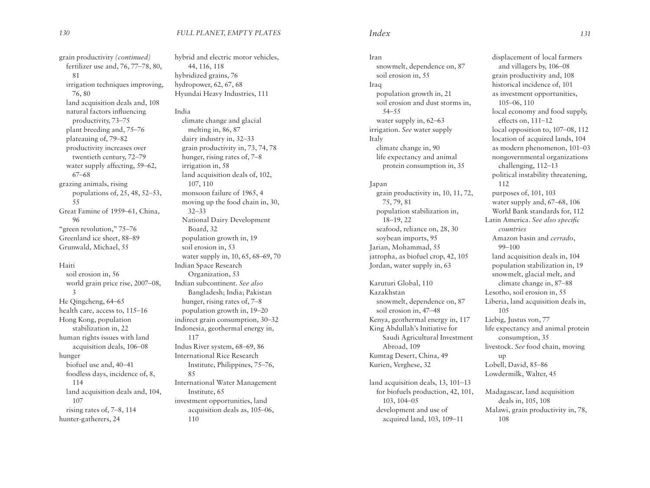grain productivity *(continued)* fertilizer use and, 76, 77–78, 80, 81 irrigation techniques improving, 76, 80 land acquisition deals and, 108 natural factors influencing productivity, 73–75 plant breeding and, 75–76 plateauing of, 79–82 productivity increases over twentieth century, 72–79 water supply affecting, 59–62, 67–68 grazing animals, rising populations of, 25, 48, 52–53, 55 Great Famine of 1959–61, China, 96 "green revolution," 75–76 Greenland ice sheet, 88–89 Grunwald, Michael, 55

## Haiti

soil erosion in, 56 world grain price rise, 2007–08, 3 He Qingcheng, 64–65 health care, access to, 115–16 Hong Kong, population stabilization in, 22 human rights issues with land acquisition deals, 106–08 hunger biofuel use and, 40–41 foodless days, incidence of, 8, 114 land acquisition deals and, 104, 107 rising rates of, 7–8, 114 hunter-gatherers, 24

hybrid and electric motor vehicles, 44, 116, 118 hybridized grains, 76 hydropower, 62, 67, 68 Hyundai Heavy Industries, 111

## India

climate change and glacial melting in, 86, 87 dairy industry in, 32–33 grain productivity in, 73, 74, 78 hunger, rising rates of, 7–8 irrigation in, 58 land acquisition deals of, 102, 107, 110 monsoon failure of 1965, 4 moving up the food chain in, 30, 32–33 National Dairy Development Board, 32 population growth in, 19 soil erosion in, 53 water supply in, 10, 65, 68–69, 70 Indian Space Research Organization, 53 Indian subcontinent. *See also* Bangladesh; India; Pakistan hunger, rising rates of, 7–8 population growth in, 19–20 indirect grain consumption, 30–32 Indonesia, geothermal energy in, 117 Indus River system, 68–69, 86 International Rice Research Institute, Philippines, 75–76, 85 International Water Management Institute, 65 investment opportunities, land acquisition deals as, 105–06, 110

Iran snowmelt, dependence on, 87 soil erosion in, 55 Iraq population growth in, 21 soil erosion and dust storms in, 54–55 water supply in, 62–63 irrigation. *See* water supply Italy climate change in, 90 life expectancy and animal protein consumption in, 35

## Japan

grain productivity in, 10, 11, 72, 75, 79, 81 population stabilization in, 18–19, 22 seafood, reliance on, 28, 30 soybean imports, 95 Jarian, Mohammad, 55 jatropha, as biofuel crop, 42, 105 Jordan, water supply in, 63

Karuturi Global, 110 Kazakhstan snowmelt, dependence on, 87 soil erosion in, 47–48 Kenya, geothermal energy in, 117 King Abdullah's Initiative for Saudi Agricultural Investment Abroad, 109 Kumtag Desert, China, 49 Kurien, Verghese, 32

land acquisition deals, 13, 101–13 for biofuels production, 42, 101, 103, 104–05 development and use of acquired land, 103, 109–11

displacement of local farmers and villagers by, 106–08 grain productivity and, 108 historical incidence of, 101 as investment opportunities, 105–06, 110 local economy and food supply, effects on, 111–12 local opposition to, 107–08, 112 location of acquired lands, 104 as modern phenomenon, 101–03 nongovernmental organizations challenging, 112–13 political instability threatening, 112 purposes of, 101, 103 water supply and, 67–68, 106 World Bank standards for, 112 Latin America. *See also specific countries* Amazon basin and *cerrado*, 99–100 land acquisition deals in, 104 population stabilization in, 19 snowmelt, glacial melt, and climate change in, 87–88 Lesotho, soil erosion in, 55 Liberia, land acquisition deals in, 105 Liebig, Justus von, 77 life expectancy and animal protein consumption, 35 livestock. *See* food chain, moving up Lobell, David, 85–86 Lowdermilk, Walter, 45

Madagascar, land acquisition deals in, 105, 108 Malawi, grain productivity in, 78, 108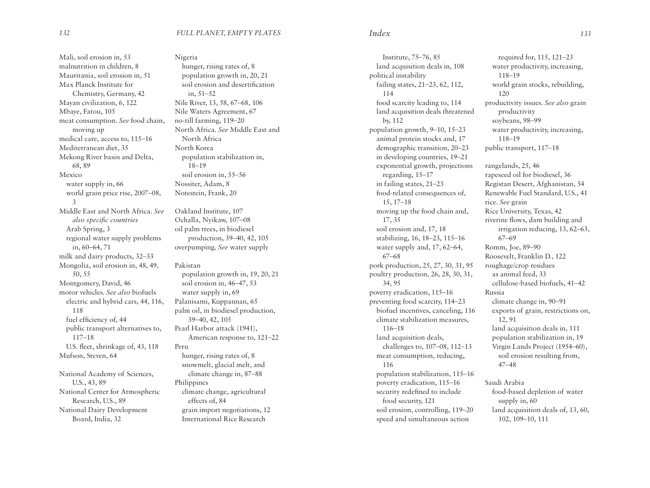Mali, soil erosion in, 53 malnutrition in children, 8 Mauritania, soil erosion in, 51 Max Planck Institute for Chemistry, Germany, 42 Mayan civilization, 6, 122 Mbaye, Fatou, 105 meat consumption. *See* food chain, moving up medical care, access to, 115–16 Mediterranean diet, 35 Mekong River basin and Delta, 68, 89 Mexico water supply in, 66 world grain price rise, 2007–08, 3 Middle East and North Africa. *See also specific countries* Arab Spring, 3 regional water supply problems in, 60–64, 71 milk and dairy products, 32–33 Mongolia, soil erosion in, 48, 49, 50, 55 Montgomery, David, 46 motor vehicles. *See also* biofuels electric and hybrid cars, 44, 116, 118 fuel efficiency of, 44 public transport alternatives to, 117–18 U.S. fleet, shrinkage of, 43, 118 Mufson, Steven, 64 National Academy of Sciences, U.S., 43, 89

National Center for Atmospheric Research, U.S., 89 National Dairy Development Board, India, 32

# Nigeria hunger, rising rates of, 8 population growth in, 20, 21 soil erosion and desertification in, 51–52 Nile River, 13, 58, 67–68, 106 Nile Waters Agreement, 67 no-till farming, 119–20 North Africa. *See* Middle East and North Africa North Korea population stabilization in, 18–19 soil erosion in, 55–56 Nossiter, Adam, 8 Notestein, Frank, 20

Oakland Institute, 107 Ochalla, Nyikaw, 107–08 oil palm trees, in biodiesel production, 39–40, 42, 105 overpumping. *See* water supply

## Pakistan

population growth in, 19, 20, 21 soil erosion in, 46–47, 53 water supply in, 69 Palanisami, Kuppannan, 65 palm oil, in biodiesel production, 39–40, 42, 105 Pearl Harbor attack (1941), American response to, 121–22 Peru hunger, rising rates of, 8 snowmelt, glacial melt, and climate change in, 87–88 Philippines climate change, agricultural effects of, 84 grain import negotiations, 12 International Rice Research

 Institute, 75–76, 85 land acquisition deals in, 108 political instability failing states, 21–23, 62, 112, 114 food scarcity leading to, 114 land acquisition deals threatened by, 112 population growth, 9–10, 15–23 animal protein stocks and, 17 demographic transition, 20–23 in developing countries, 19–21 exponential growth, projections regarding, 15–17 in failing states, 21–23 food-related consequences of, 15, 17–18 moving up the food chain and, 17, 35 soil erosion and, 17, 18 stabilizing, 16, 18–23, 115–16 water supply and, 17, 62–64, 67–68 pork production, 25, 27, 30, 31, 95 poultry production, 26, 28, 30, 31, 34, 95 poverty eradication, 115–16 preventing food scarcity, 114–23 biofuel incentives, canceling, 116 climate stabilization measures, 116–18 land acquisition deals, challenges to, 107–08, 112–13 meat consumption, reducing, 116 population stabilization, 115–16 poverty eradication, 115–16 security redefined to include food security, 121 soil erosion, controlling, 119–20 speed and simultaneous action

 required for, 115, 121–23 water productivity, increasing, 118–19 world grain stocks, rebuilding, 120 productivity issues. *See also* grain productivity soybeans, 98–99 water productivity, increasing, 118–19 public transport, 117–18 rangelands, 25, 46 rapeseed oil for biodiesel, 36 Registan Desert, Afghanistan, 54 Renewable Fuel Standard, U.S., 41 rice. *See* grain Rice University, Texas, 42 riverine flows, dam building and irrigation reducing, 13, 62–63, 67–69 Romm, Joe, 89–90 Roosevelt, Franklin D., 122 roughage/crop residues as animal feed, 33 cellulose-based biofuels, 41–42 Russia climate change in, 90–91 exports of grain, restrictions on, 12, 91

land acquisition deals in, 111 population stabilization in, 19 Virgin Lands Project (1954–60), soil erosion resulting from, 47–48

Saudi Arabia food-based depletion of water supply in, 60 land acquisition deals of, 13, 60, 102, 109–10, 111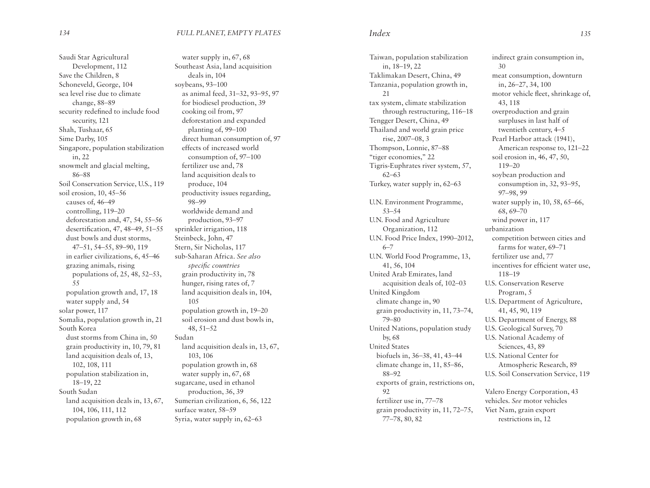Saudi Star Agricultural Development, 112 Save the Children, 8 Schoneveld, George, 104 sea level rise due to climate change, 88–89 security redefined to include food security, 121 Shah, Tushaar, 65 Sime Darby, 105 Singapore, population stabilization in, 22 snowmelt and glacial melting, 86–88 Soil Conservation Service, U.S., 119 soil erosion, 10, 45–56 causes of, 46–49 controlling, 119–20 deforestation and, 47, 54, 55–56 desertification, 47, 48–49, 51–55 dust bowls and dust storms, 47–51, 54–55, 89–90, 119 in earlier civilizations, 6, 45–46 grazing animals, rising populations of, 25, 48, 52–53, 55 population growth and, 17, 18 water supply and, 54 solar power, 117 Somalia, population growth in, 21 South Korea dust storms from China in, 50 grain productivity in, 10, 79, 81 land acquisition deals of, 13, 102, 108, 111 population stabilization in, 18–19, 22 South Sudan land acquisition deals in, 13, 67, 104, 106, 111, 112 population growth in, 68

water supply in, 67, 68 Southeast Asia, land acquisition deals in, 104 soybeans, 93–100 as animal feed, 31–32, 93–95, 97 for biodiesel production, 39 cooking oil from, 97 deforestation and expanded planting of, 99–100 direct human consumption of, 97 effects of increased world consumption of, 97–100 fertilizer use and, 78 land acquisition deals to produce, 104 productivity issues regarding, 98–99 worldwide demand and production, 93–97 sprinkler irrigation, 118 Steinbeck, John, 47 Stern, Sir Nicholas, 117 sub-Saharan Africa. *See also specific countries* grain productivity in, 78 hunger, rising rates of, 7 land acquisition deals in, 104, 105 population growth in, 19–20 soil erosion and dust bowls in, 48, 51–52 Sudan land acquisition deals in, 13, 67, 103, 106 population growth in, 68 water supply in, 67, 68 sugarcane, used in ethanol production, 36, 39 Sumerian civilization, 6, 56, 122 surface water, 58–59 Syria, water supply in, 62–63

Taiwan, population stabilization in, 18–19, 22 Taklimakan Desert, China, 49 Tanzania, population growth in, 21 tax system, climate stabilization through restructuring, 116–18 Tengger Desert, China, 49 Thailand and world grain price rise, 2007–08, 3 Thompson, Lonnie, 87–88 "tiger economies," 22 Tigris-Euphrates river system, 57, 62–63 Turkey, water supply in, 62–63 U.N. Environment Programme, 53–54 U.N. Food and Agriculture Organization, 112 U.N. Food Price Index, 1990–2012, 6–7 U.N. World Food Programme, 13, 41, 56, 104 United Arab Emirates, land acquisition deals of, 102–03 United Kingdom climate change in, 90 grain productivity in, 11, 73–74, 79–80 United Nations, population study by, 68 United States biofuels in, 36–38, 41, 43–44 climate change in, 11, 85–86, 88–92 exports of grain, restrictions on, 92 fertilizer use in, 77–78 grain productivity in, 11, 72–75, 77–78, 80, 82

indirect grain consumption in, 30 meat consumption, downturn in, 26–27, 34, 100 motor vehicle fleet, shrinkage of, 43, 118 overproduction and grain surpluses in last half of twentieth century, 4–5 Pearl Harbor attack (1941), American response to, 121–22 soil erosion in, 46, 47, 50, 119–20 soybean production and consumption in, 32, 93–95, 97–98, 99 water supply in, 10, 58, 65–66, 68, 69–70 wind power in, 117 urbanization competition between cities and farms for water, 69–71 fertilizer use and, 77 incentives for efficient water use, 118–19 U.S. Conservation Reserve Program, 5 U.S. Department of Agriculture, 41, 45, 90, 119 U.S. Department of Energy, 88 U.S. Geological Survey, 70 U.S. National Academy of Sciences, 43, 89 U.S. National Center for Atmospheric Research, 89 U.S. Soil Conservation Service, 119 Valero Energy Corporation, 43 vehicles. *See* motor vehicles Viet Nam, grain export

restrictions in, 12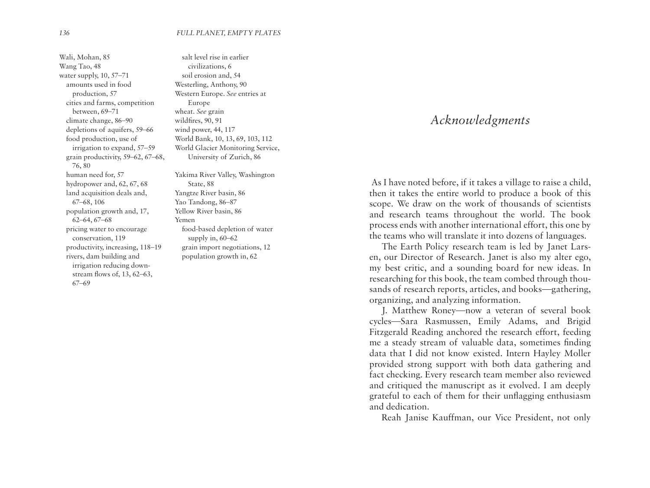Wali, Mohan, 85 Wang Tao, 48 water supply, 10, 57–71 amounts used in food production, 57 cities and farms, competition between, 69–71 climate change, 86–90 depletions of aquifers, 59–66 food production, use of irrigation to expand, 57–59 grain productivity, 59–62, 67–68, 76, 80 human need for, 57 hydropower and, 62, 67, 68 land acquisition deals and, 67–68, 106 population growth and, 17, 62–64, 67–68 pricing water to encourage conservation, 119 productivity, increasing, 118–19 rivers, dam building and irrigation reducing down stream flows of, 13, 62–63, 67–69

salt level rise in earlier civilizations, 6 soil erosion and, 54 Westerling, Anthony, 90 Western Europe. *See* entries at Europe wheat. *See* grain wildfires, 90, 91 wind power, 44, 117 World Bank, 10, 13, 69, 103, 112 World Glacier Monitoring Service, University of Zurich, 86

Yakima River Valley, Washington State, 88 Yangtze River basin, 86 Yao Tandong, 86–87 Yellow River basin, 86 Yemen food-based depletion of water supply in, 60–62 grain import negotiations, 12 population growth in, 62

# *Acknowledgments*

 As I have noted before, if it takes a village to raise a child, then it takes the entire world to produce a book of this scope. We draw on the work of thousands of scientists and research teams throughout the world. The book process ends with another international effort, this one by the teams who will translate it into dozens of languages.

The Earth Policy research team is led by Janet Larsen, our Director of Research. Janet is also my alter ego, my best critic, and a sounding board for new ideas. In researching for this book, the team combed through thousands of research reports, articles, and books—gathering, organizing, and analyzing information.

J. Matthew Roney—now a veteran of several book cycles—Sara Rasmussen, Emily Adams, and Brigid Fitzgerald Reading anchored the research effort, feeding me a steady stream of valuable data, sometimes finding data that I did not know existed. Intern Hayley Moller provided strong support with both data gathering and fact checking. Every research team member also reviewed and critiqued the manuscript as it evolved. I am deeply grateful to each of them for their unflagging enthusiasm and dedication.

Reah Janise Kauffman, our Vice President, not only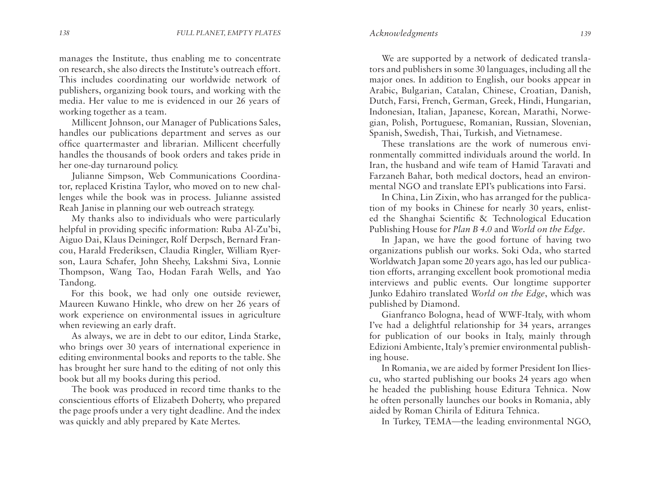manages the Institute, thus enabling me to concentrate on research, she also directs the Institute's outreach effort. This includes coordinating our worldwide network of publishers, organizing book tours, and working with the media. Her value to me is evidenced in our 26 years of working together as a team.

Millicent Johnson, our Manager of Publications Sales, handles our publications department and serves as our office quartermaster and librarian. Millicent cheerfully handles the thousands of book orders and takes pride in her one-day turnaround policy.

Julianne Simpson, Web Communications Coordinator, replaced Kristina Taylor, who moved on to new challenges while the book was in process. Julianne assisted Reah Janise in planning our web outreach strategy.

My thanks also to individuals who were particularly helpful in providing specific information: Ruba Al-Zu'bi, Aiguo Dai, Klaus Deininger, Rolf Derpsch, Bernard Francou, Harald Frederiksen, Claudia Ringler, William Ryerson, Laura Schafer, John Sheehy, Lakshmi Siva, Lonnie Thompson, Wang Tao, Hodan Farah Wells, and Yao Tandong.

For this book, we had only one outside reviewer, Maureen Kuwano Hinkle, who drew on her 26 years of work experience on environmental issues in agriculture when reviewing an early draft.

As always, we are in debt to our editor, Linda Starke, who brings over 30 years of international experience in editing environmental books and reports to the table. She has brought her sure hand to the editing of not only this book but all my books during this period.

The book was produced in record time thanks to the conscientious efforts of Elizabeth Doherty, who prepared the page proofs under a very tight deadline. And the index was quickly and ably prepared by Kate Mertes.

We are supported by a network of dedicated translators and publishers in some 30 languages, including all the major ones. In addition to English, our books appear in Arabic, Bulgarian, Catalan, Chinese, Croatian, Danish, Dutch, Farsi, French, German, Greek, Hindi, Hungarian, Indonesian, Italian, Japanese, Korean, Marathi, Norwegian, Polish, Portuguese, Romanian, Russian, Slovenian, Spanish, Swedish, Thai, Turkish, and Vietnamese.

These translations are the work of numerous environmentally committed individuals around the world. In Iran, the husband and wife team of Hamid Taravati and Farzaneh Bahar, both medical doctors, head an environmental NGO and translate EPI's publications into Farsi.

In China, Lin Zixin, who has arranged for the publication of my books in Chinese for nearly 30 years, enlisted the Shanghai Scientific & Technological Education Publishing House for *Plan B 4.0* and *World on the Edge*.

In Japan, we have the good fortune of having two organizations publish our works. Soki Oda, who started Worldwatch Japan some 20 years ago, has led our publication efforts, arranging excellent book promotional media interviews and public events. Our longtime supporter Junko Edahiro translated *World on the Edge*, which was published by Diamond.

Gianfranco Bologna, head of WWF-Italy, with whom I've had a delightful relationship for 34 years, arranges for publication of our books in Italy, mainly through Edizioni Ambiente, Italy's premier environmental publishing house.

In Romania, we are aided by former President Ion Iliescu, who started publishing our books 24 years ago when he headed the publishing house Editura Tehnica. Now he often personally launches our books in Romania, ably aided by Roman Chirila of Editura Tehnica.

In Turkey, TEMA—the leading environmental NGO,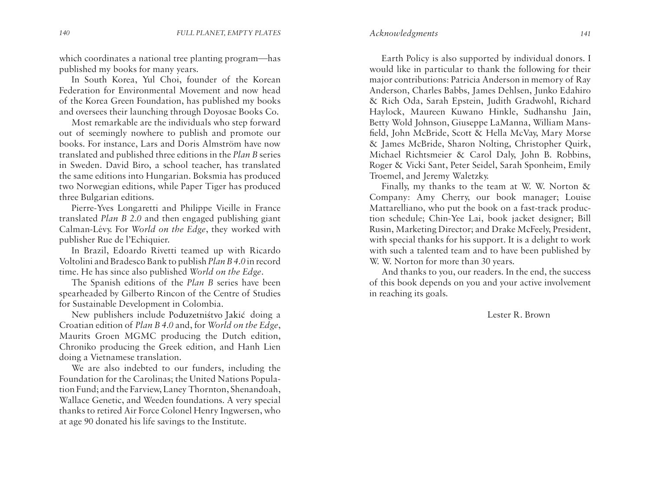which coordinates a national tree planting program—has published my books for many years.

In South Korea, Yul Choi, founder of the Korean Federation for Environmental Movement and now head of the Korea Green Foundation, has published my books and oversees their launching through Doyosae Books Co.

Most remarkable are the individuals who step forward out of seemingly nowhere to publish and promote our books. For instance, Lars and Doris Almström have now translated and published three editions in the *Plan B* series in Sweden. David Biro, a school teacher, has translated the same editions into Hungarian. Boksmia has produced two Norwegian editions, while Paper Tiger has produced three Bulgarian editions.

Pierre-Yves Longaretti and Philippe Vieille in France translated *Plan B 2.0* and then engaged publishing giant Calman-Lévy. For *World on the Edge*, they worked with publisher Rue de l'Echiquier.

In Brazil, Edoardo Rivetti teamed up with Ricardo Voltolini and Bradesco Bank to publish *Plan B 4.0* in record time. He has since also published *World on the Edge*.

The Spanish editions of the *Plan B* series have been spearheaded by Gilberto Rincon of the Centre of Studies for Sustainable Development in Colombia.

New publishers include Poduzetnistvo Jakic doing a Croatian edition of *Plan B 4.0* and, for *World on the Edge*, Maurits Groen MGMC producing the Dutch edition, Chroniko producing the Greek edition, and Hanh Lien doing a Vietnamese translation.

We are also indebted to our funders, including the Foundation for the Carolinas; the United Nations Population Fund; and the Farview, Laney Thornton, Shenandoah, Wallace Genetic, and Weeden foundations. A very special thanks to retired Air Force Colonel Henry Ingwersen, who at age 90 donated his life savings to the Institute.

Earth Policy is also supported by individual donors. I would like in particular to thank the following for their major contributions: Patricia Anderson in memory of Ray Anderson, Charles Babbs, James Dehlsen, Junko Edahiro & Rich Oda, Sarah Epstein, Judith Gradwohl, Richard Haylock, Maureen Kuwano Hinkle, Sudhanshu Jain, Betty Wold Johnson, Giuseppe LaManna, William Mansfield, John McBride, Scott & Hella McVay, Mary Morse & James McBride, Sharon Nolting, Christopher Quirk, Michael Richtsmeier & Carol Daly, John B. Robbins, Roger & Vicki Sant, Peter Seidel, Sarah Sponheim, Emily Troemel, and Jeremy Waletzky.

Finally, my thanks to the team at W. W. Norton & Company: Amy Cherry, our book manager; Louise Mattarelliano, who put the book on a fast-track production schedule; Chin-Yee Lai, book jacket designer; Bill Rusin, Marketing Director; and Drake McFeely, President, with special thanks for his support. It is a delight to work with such a talented team and to have been published by W. W. Norton for more than 30 years.

And thanks to you, our readers. In the end, the success of this book depends on you and your active involvement in reaching its goals.

Lester R. Brown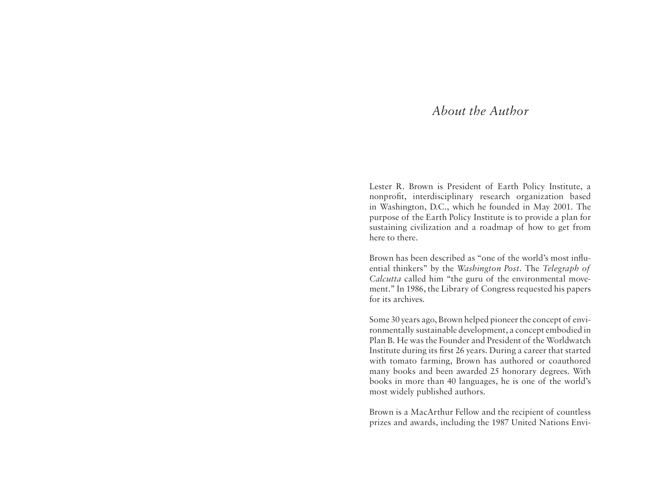# *About the Author*

Lester R. Brown is President of Earth Policy Institute, a nonprofit, interdisciplinary research organization based in Washington, D.C., which he founded in May 2001. The purpose of the Earth Policy Institute is to provide a plan for sustaining civilization and a roadmap of how to get from here to there.

Brown has been described as "one of the world's most influential thinkers" by the *Washington Post*. The *Telegraph of Calcutta* called him "the guru of the environmental movement." In 1986, the Library of Congress requested his papers for its archives.

Some 30 years ago, Brown helped pioneer the concept of environmentally sustainable development, a concept embodied in Plan B. He was the Founder and President of the Worldwatch Institute during its first 26 years. During a career that started with tomato farming, Brown has authored or coauthored many books and been awarded 25 honorary degrees. With books in more than 40 languages, he is one of the world's most widely published authors.

Brown is a MacArthur Fellow and the recipient of countless prizes and awards, including the 1987 United Nations Envi-